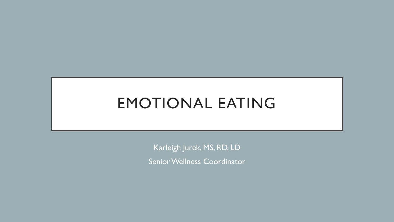Karleigh Jurek, MS, RD, LD Senior Wellness Coordinator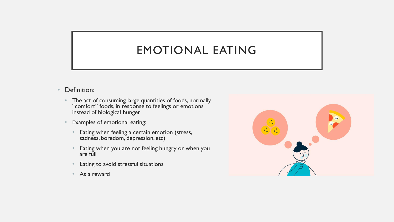- Definition:
	- The act of consuming large quantities of foods, normally "comfort" foods, in response to feelings or emotions instead of biological hunger
	- Examples of emotional eating:
		- Eating when feeling a certain emotion (stress, sadness, boredom, depression, etc)
		- Eating when you are not feeling hungry or when you are full
		- Eating to avoid stressful situations
		- As a reward

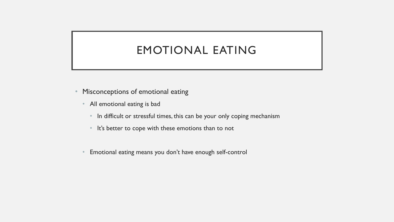- Misconceptions of emotional eating
	- All emotional eating is bad
		- In difficult or stressful times, this can be your only coping mechanism
		- It's better to cope with these emotions than to not
	- Emotional eating means you don't have enough self-control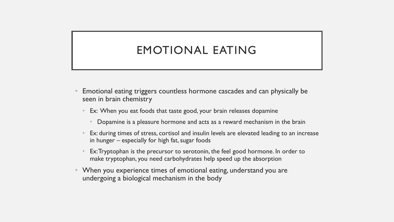- Emotional eating triggers countless hormone cascades and can physically be seen in brain chemistry
	- Ex: When you eat foods that taste good, your brain releases dopamine
		- Dopamine is a pleasure hormone and acts as a reward mechanism in the brain
	- Ex: during times of stress, cortisol and insulin levels are elevated leading to an increase in hunger – especially for high fat, sugar foods
	- Ex: Tryptophan is the precursor to serotonin, the feel good hormone. In order to make tryptophan, you need carbohydrates help speed up the absorption
- When you experience times of emotional eating, understand you are undergoing a biological mechanism in the body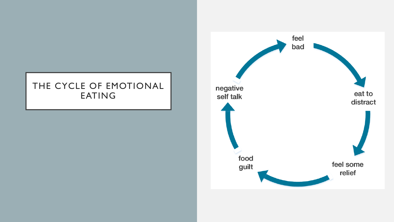### THE CYCLE OF EMOTIONAL EATING

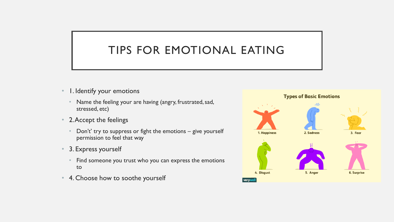- 1. Identify your emotions
	- Name the feeling your are having (angry, frustrated, sad, stressed, etc)
- 2. Accept the feelings
	- Don't' try to suppress or fight the emotions  $-$  give yourself permission to feel that way
- 3. Express yourself
	- Find someone you trust who you can express the emotions to
- 4. Choose how to soothe yourself

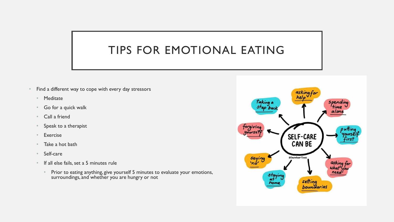- Find a different way to cope with every day stressors
	- Meditate
	- Go for a quick walk
	- Call a friend
	- Speak to a therapist
	- **Exercise**
	- Take a hot bath
	- Self-care
	- If all else fails, set a 5 minutes rule
		- Prior to eating anything, give yourself 5 minutes to evaluate your emotions, surroundings, and whether you are hungry or not

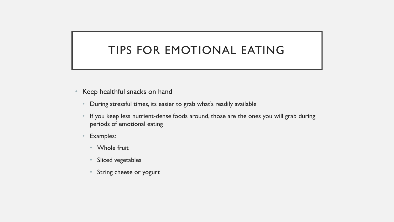- Keep healthful snacks on hand
	- During stressful times, its easier to grab what's readily available
	- If you keep less nutrient-dense foods around, those are the ones you will grab during periods of emotional eating
	- Examples:
		- Whole fruit
		- Sliced vegetables
		- String cheese or yogurt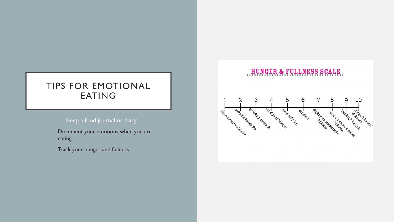#### Keep a food journal or diary

Document your emotions when you are eating

Track your hunger and fullness

#### HUNGER & FULLNESS SCALE

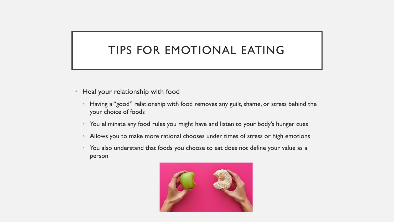- Heal your relationship with food
	- Having a "good" relationship with food removes any guilt, shame, or stress behind the your choice of foods
	- You eliminate any food rules you might have and listen to your body's hunger cues
	- Allows you to make more rational chooses under times of stress or high emotions
	- You also understand that foods you choose to eat does not define your value as a person

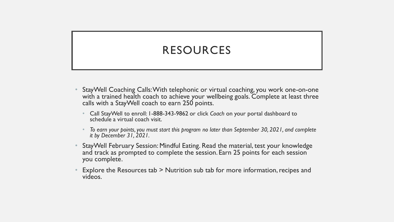## RESOURCES

- StayWell Coaching Calls:With telephonic or virtual coaching, you work one-on-one with a trained health coach to achieve your wellbeing goals. Complete at least three calls with a StayWell coach to earn 250 points.
	- Call StayWell to enroll: 1-888-343-9862 or click *Coach* on your portal dashboard to schedule a virtual coach visit.
	- *To earn your points, you must start this program no later than September 30, 2021, and complete it by December 31, 2021.*
- StayWell February Session: Mindful Eating. Read the material, test your knowledge and track as prompted to complete the session. Earn 25 points for each session you complete.
- Explore the Resources tab > Nutrition sub tab for more information, recipes and videos.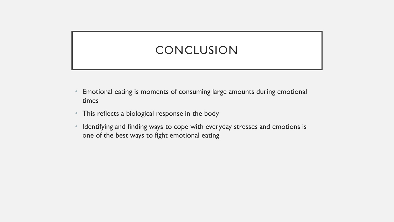### CONCLUSION

- Emotional eating is moments of consuming large amounts during emotional times
- This reflects a biological response in the body
- Identifying and finding ways to cope with everyday stresses and emotions is one of the best ways to fight emotional eating